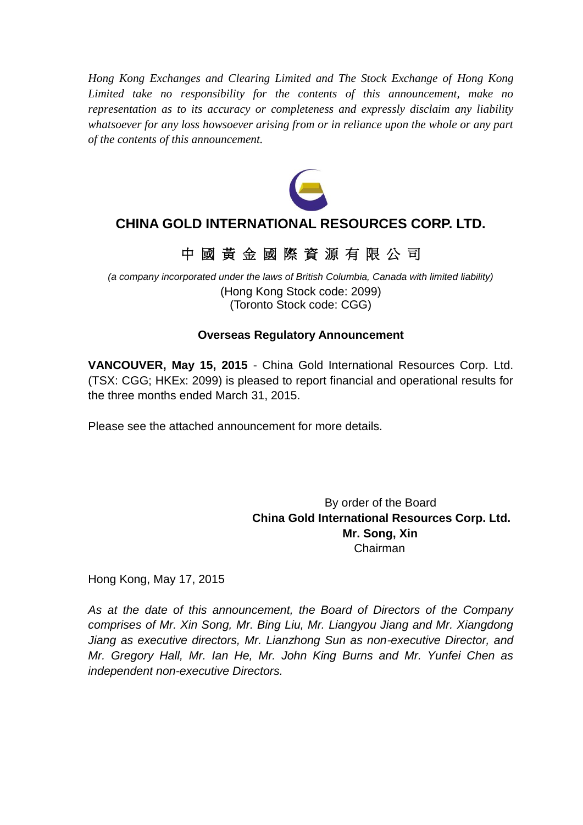*Hong Kong Exchanges and Clearing Limited and The Stock Exchange of Hong Kong Limited take no responsibility for the contents of this announcement, make no representation as to its accuracy or completeness and expressly disclaim any liability whatsoever for any loss howsoever arising from or in reliance upon the whole or any part of the contents of this announcement.*



# **CHINA GOLD INTERNATIONAL RESOURCES CORP. LTD.**

# 中 國 黃 金 國 際 資 源 有 限 公 司

*(a company incorporated under the laws of British Columbia, Canada with limited liability)* (Hong Kong Stock code: 2099) (Toronto Stock code: CGG)

# **Overseas Regulatory Announcement**

**VANCOUVER, May 15, 2015** - China Gold International Resources Corp. Ltd. (TSX: CGG; HKEx: 2099) is pleased to report financial and operational results for the three months ended March 31, 2015.

Please see the attached announcement for more details.

By order of the Board **China Gold International Resources Corp. Ltd. Mr. Song, Xin** Chairman

Hong Kong, May 17, 2015

*As at the date of this announcement, the Board of Directors of the Company comprises of Mr. Xin Song, Mr. Bing Liu, Mr. Liangyou Jiang and Mr. Xiangdong Jiang as executive directors, Mr. Lianzhong Sun as non-executive Director, and Mr. Gregory Hall, Mr. Ian He, Mr. John King Burns and Mr. Yunfei Chen as independent non-executive Directors.*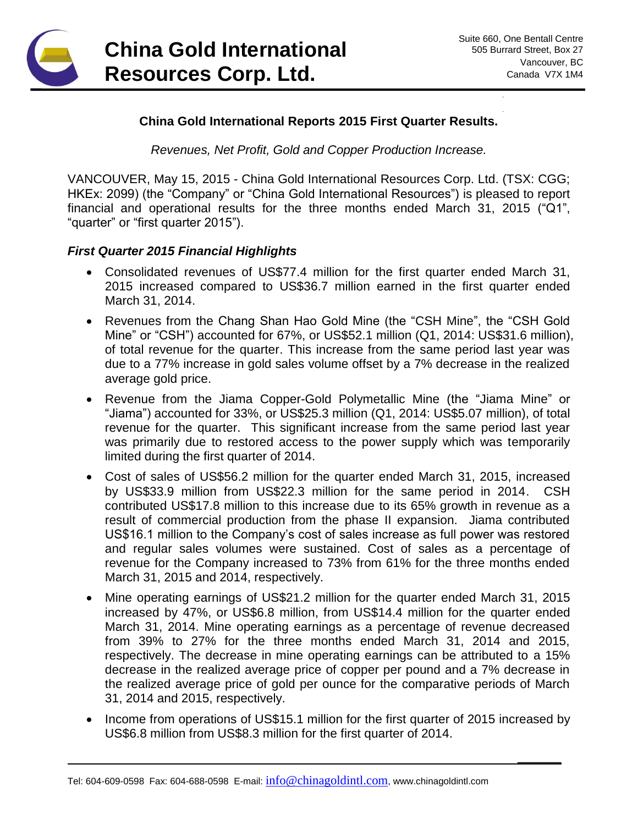

**\_\_\_\_\_\_**

### **China Gold International Reports 2015 First Quarter Results.**

*Revenues, Net Profit, Gold and Copper Production Increase.*

VANCOUVER, May 15, 2015 - China Gold International Resources Corp. Ltd. (TSX: CGG; HKEx: 2099) (the "Company" or "China Gold International Resources") is pleased to report financial and operational results for the three months ended March 31, 2015 ("Q1", "quarter" or "first quarter 2015").

#### *First Quarter 2015 Financial Highlights*

- Consolidated revenues of US\$77.4 million for the first quarter ended March 31, 2015 increased compared to US\$36.7 million earned in the first quarter ended March 31, 2014.
- Revenues from the Chang Shan Hao Gold Mine (the "CSH Mine", the "CSH Gold Mine" or "CSH") accounted for 67%, or US\$52.1 million (Q1, 2014: US\$31.6 million), of total revenue for the quarter. This increase from the same period last year was due to a 77% increase in gold sales volume offset by a 7% decrease in the realized average gold price.
- Revenue from the Jiama Copper-Gold Polymetallic Mine (the "Jiama Mine" or "Jiama") accounted for 33%, or US\$25.3 million (Q1, 2014: US\$5.07 million), of total revenue for the quarter. This significant increase from the same period last year was primarily due to restored access to the power supply which was temporarily limited during the first quarter of 2014.
- Cost of sales of US\$56.2 million for the quarter ended March 31, 2015, increased by US\$33.9 million from US\$22.3 million for the same period in 2014. CSH contributed US\$17.8 million to this increase due to its 65% growth in revenue as a result of commercial production from the phase II expansion. Jiama contributed US\$16.1 million to the Company's cost of sales increase as full power was restored and regular sales volumes were sustained. Cost of sales as a percentage of revenue for the Company increased to 73% from 61% for the three months ended March 31, 2015 and 2014, respectively.
- Mine operating earnings of US\$21.2 million for the quarter ended March 31, 2015 increased by 47%, or US\$6.8 million, from US\$14.4 million for the quarter ended March 31, 2014. Mine operating earnings as a percentage of revenue decreased from 39% to 27% for the three months ended March 31, 2014 and 2015, respectively. The decrease in mine operating earnings can be attributed to a 15% decrease in the realized average price of copper per pound and a 7% decrease in the realized average price of gold per ounce for the comparative periods of March 31, 2014 and 2015, respectively.
- Income from operations of US\$15.1 million for the first quarter of 2015 increased by US\$6.8 million from US\$8.3 million for the first quarter of 2014.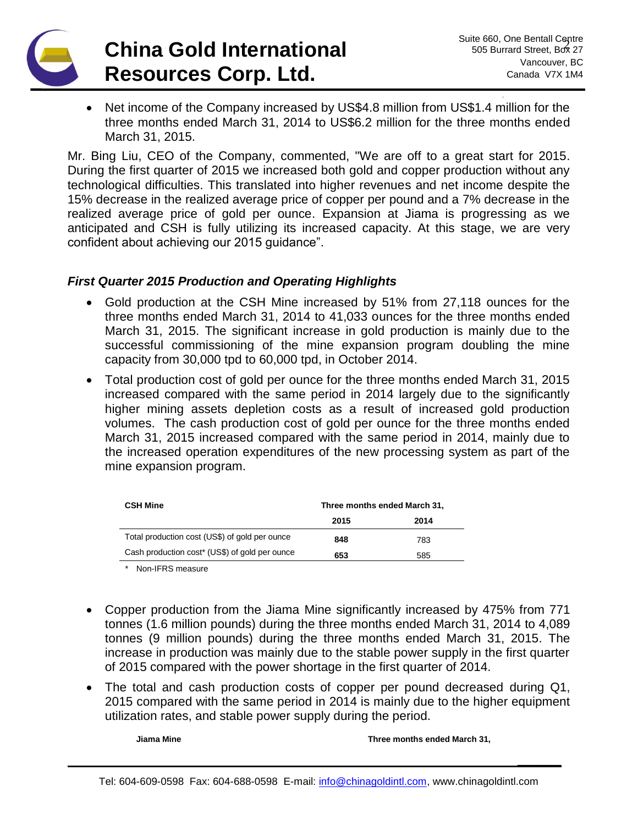

• Net income of the Company increased by US\$4.8 million from US\$1.4 million for the three months ended March 31, 2014 to US\$6.2 million for the three months ended March 31, 2015.

Mr. Bing Liu, CEO of the Company, commented, "We are off to a great start for 2015. During the first quarter of 2015 we increased both gold and copper production without any technological difficulties. This translated into higher revenues and net income despite the 15% decrease in the realized average price of copper per pound and a 7% decrease in the realized average price of gold per ounce. Expansion at Jiama is progressing as we anticipated and CSH is fully utilizing its increased capacity. At this stage, we are very confident about achieving our 2015 guidance".

# *First Quarter 2015 Production and Operating Highlights*

- Gold production at the CSH Mine increased by 51% from 27,118 ounces for the three months ended March 31, 2014 to 41,033 ounces for the three months ended March 31, 2015. The significant increase in gold production is mainly due to the successful commissioning of the mine expansion program doubling the mine capacity from 30,000 tpd to 60,000 tpd, in October 2014.
- Total production cost of gold per ounce for the three months ended March 31, 2015 increased compared with the same period in 2014 largely due to the significantly higher mining assets depletion costs as a result of increased gold production volumes. The cash production cost of gold per ounce for the three months ended March 31, 2015 increased compared with the same period in 2014, mainly due to the increased operation expenditures of the new processing system as part of the mine expansion program.

| <b>CSH Mine</b>                                | Three months ended March 31, |      |
|------------------------------------------------|------------------------------|------|
|                                                | 2015                         | 2014 |
| Total production cost (US\$) of gold per ounce | 848                          | 783  |
| Cash production cost* (US\$) of gold per ounce | 653                          | 585  |

*\** Non-IFRS measure

- Copper production from the Jiama Mine significantly increased by 475% from 771 tonnes (1.6 million pounds) during the three months ended March 31, 2014 to 4,089 tonnes (9 million pounds) during the three months ended March 31, 2015. The increase in production was mainly due to the stable power supply in the first quarter of 2015 compared with the power shortage in the first quarter of 2014.
- The total and cash production costs of copper per pound decreased during Q1, 2015 compared with the same period in 2014 is mainly due to the higher equipment utilization rates, and stable power supply during the period.

**Jiama Mine Three months ended March 31,**

**\_\_\_\_\_\_**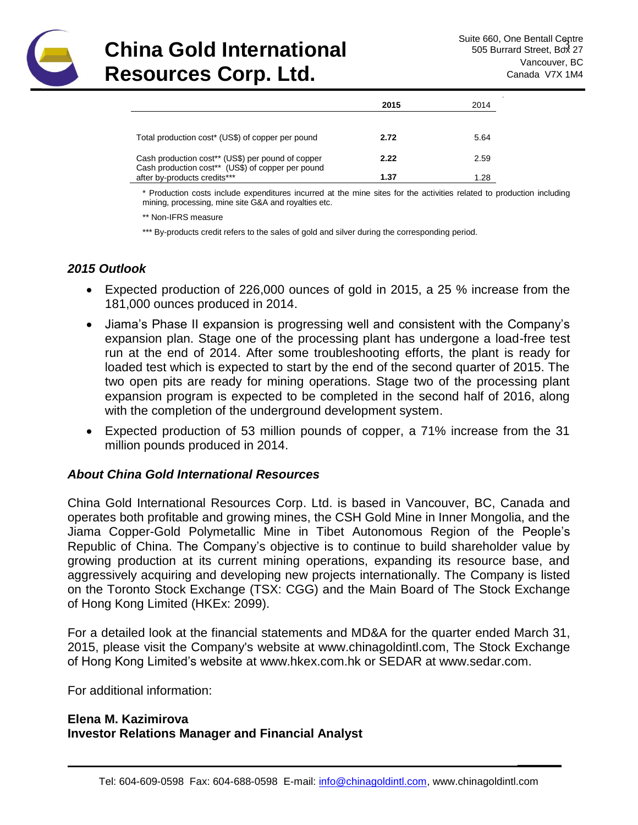

**\_\_\_\_\_\_**

|                                                                                   | 2015 | 2014 |
|-----------------------------------------------------------------------------------|------|------|
|                                                                                   |      |      |
| Total production cost* (US\$) of copper per pound                                 | 2.72 | 5.64 |
| Cash production cost** (US\$) per pound of copper                                 | 2.22 | 2.59 |
| Cash production cost** (US\$) of copper per pound<br>after by-products credits*** | 1.37 | 1.28 |

\* Production costs include expenditures incurred at the mine sites for the activities related to production including mining, processing, mine site G&A and royalties etc.

\*\* Non-IFRS measure

\*\*\* By-products credit refers to the sales of gold and silver during the corresponding period.

## *2015 Outlook*

- Expected production of 226,000 ounces of gold in 2015, a 25 % increase from the 181,000 ounces produced in 2014.
- Jiama's Phase II expansion is progressing well and consistent with the Company's expansion plan. Stage one of the processing plant has undergone a load-free test run at the end of 2014. After some troubleshooting efforts, the plant is ready for loaded test which is expected to start by the end of the second quarter of 2015. The two open pits are ready for mining operations. Stage two of the processing plant expansion program is expected to be completed in the second half of 2016, along with the completion of the underground development system.
- Expected production of 53 million pounds of copper, a 71% increase from the 31 million pounds produced in 2014.

### *About China Gold International Resources*

China Gold International Resources Corp. Ltd. is based in Vancouver, BC, Canada and operates both profitable and growing mines, the CSH Gold Mine in Inner Mongolia, and the Jiama Copper-Gold Polymetallic Mine in Tibet Autonomous Region of the People's Republic of China. The Company's objective is to continue to build shareholder value by growing production at its current mining operations, expanding its resource base, and aggressively acquiring and developing new projects internationally. The Company is listed on the Toronto Stock Exchange (TSX: CGG) and the Main Board of The Stock Exchange of Hong Kong Limited (HKEx: 2099).

For a detailed look at the financial statements and MD&A for the quarter ended March 31, 2015, please visit the Company's website at [www.chinagoldintl.com,](http://www.chinagoldintl.com/) The Stock Exchange of Hong Kong Limited's website at www.hkex.com.hk or SEDAR at [www.sedar.com.](http://www.sedar.com/)

For additional information:

## **Elena M. Kazimirova Investor Relations Manager and Financial Analyst**